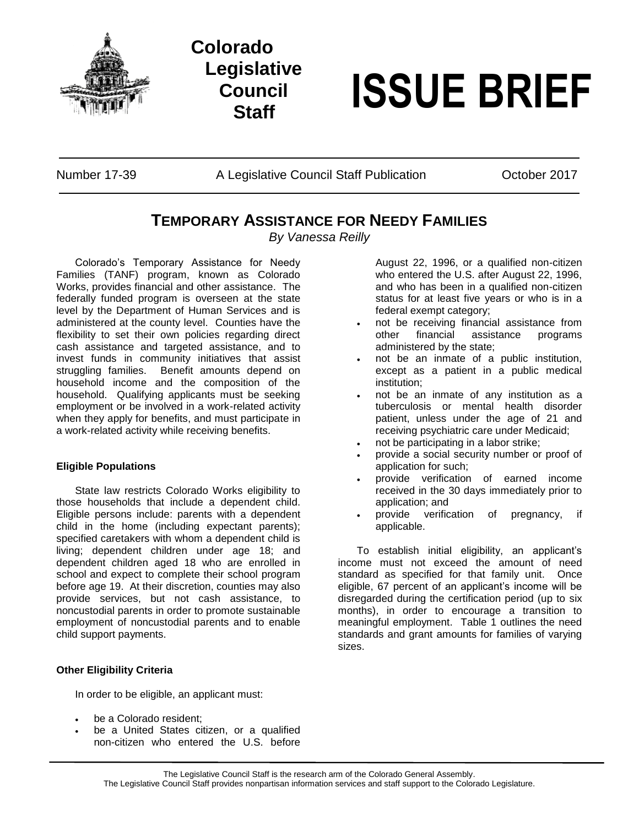

## **Colorado Legislative Council**

# **Staff ISSUE BRIEF**

Number 17-39 A Legislative Council Staff Publication Cotober 2017

### **TEMPORARY ASSISTANCE FOR NEEDY FAMILIES**

*By Vanessa Reilly*

Colorado's Temporary Assistance for Needy Families (TANF) program, known as Colorado Works, provides financial and other assistance. The federally funded program is overseen at the state level by the Department of Human Services and is administered at the county level. Counties have the flexibility to set their own policies regarding direct cash assistance and targeted assistance, and to invest funds in community initiatives that assist struggling families. Benefit amounts depend on household income and the composition of the household. Qualifying applicants must be seeking employment or be involved in a work-related activity when they apply for benefits, and must participate in a work-related activity while receiving benefits.

#### **Eligible Populations**

State law restricts Colorado Works eligibility to those households that include a dependent child. Eligible persons include: parents with a dependent child in the home (including expectant parents); specified caretakers with whom a dependent child is living; dependent children under age 18; and dependent children aged 18 who are enrolled in school and expect to complete their school program before age 19. At their discretion, counties may also provide services, but not cash assistance, to noncustodial parents in order to promote sustainable employment of noncustodial parents and to enable child support payments.

#### **Other Eligibility Criteria**

In order to be eligible, an applicant must:

- be a Colorado resident;
- be a United States citizen, or a qualified non-citizen who entered the U.S. before

August 22, 1996, or a qualified non-citizen who entered the U.S. after August 22, 1996, and who has been in a qualified non-citizen status for at least five years or who is in a federal exempt category;

- not be receiving financial assistance from other financial assistance programs administered by the state;
- not be an inmate of a public institution, except as a patient in a public medical institution;
- not be an inmate of any institution as a tuberculosis or mental health disorder patient, unless under the age of 21 and receiving psychiatric care under Medicaid;
- not be participating in a labor strike;
- provide a social security number or proof of application for such;
- provide verification of earned income received in the 30 days immediately prior to application; and
- provide verification of pregnancy, if applicable.

To establish initial eligibility, an applicant's income must not exceed the amount of need standard as specified for that family unit. Once eligible, 67 percent of an applicant's income will be disregarded during the certification period (up to six months), in order to encourage a transition to meaningful employment. Table 1 outlines the need standards and grant amounts for families of varying sizes.